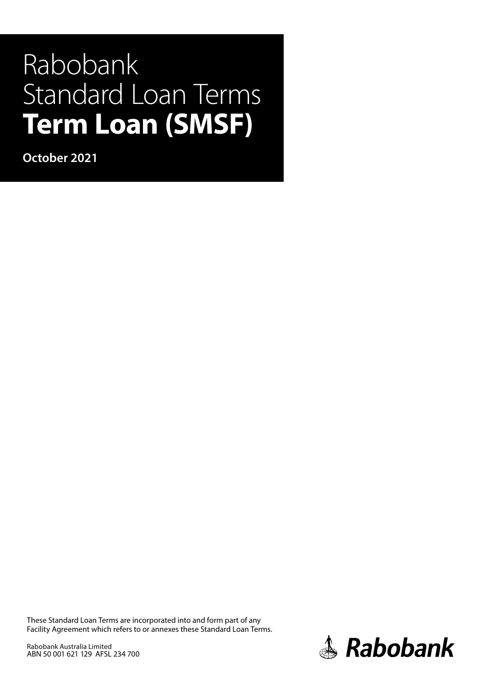# Rabobank Standard Loan Terms **Term Loan (SMSF)**

**October 2021**

These Standard Loan Terms are incorporated into and form part of any Facility Agreement which refers to or annexes these Standard Loan Terms.

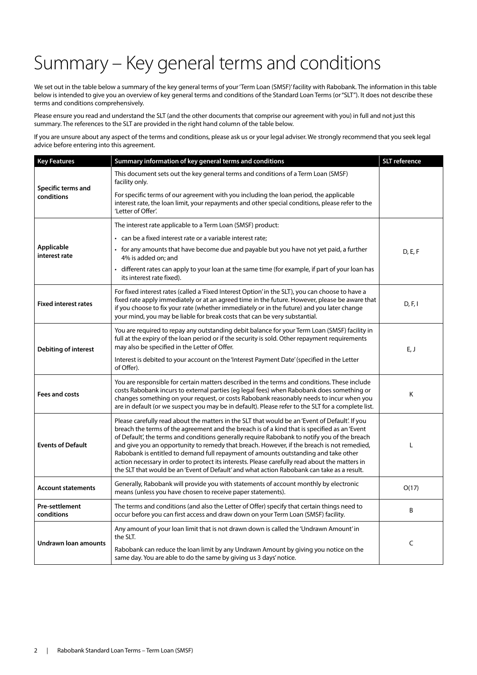## Summary – Key general terms and conditions

We set out in the table below a summary of the key general terms of your 'Term Loan (SMSF)' facility with Rabobank. The information in this table below is intended to give you an overview of key general terms and conditions of the Standard Loan Terms (or "SLT"). It does not describe these terms and conditions comprehensively.

Please ensure you read and understand the SLT (and the other documents that comprise our agreement with you) in full and not just this summary. The references to the SLT are provided in the right hand column of the table below.

If you are unsure about any aspect of the terms and conditions, please ask us or your legal adviser. We strongly recommend that you seek legal advice before entering into this agreement.

| <b>Key Features</b>              | Summary information of key general terms and conditions                                                                                                                                                                                                                                                                                                                                                                                                                                                                                                                                                                                                                             | <b>SLT</b> reference |
|----------------------------------|-------------------------------------------------------------------------------------------------------------------------------------------------------------------------------------------------------------------------------------------------------------------------------------------------------------------------------------------------------------------------------------------------------------------------------------------------------------------------------------------------------------------------------------------------------------------------------------------------------------------------------------------------------------------------------------|----------------------|
| Specific terms and<br>conditions | This document sets out the key general terms and conditions of a Term Loan (SMSF)<br>facility only.                                                                                                                                                                                                                                                                                                                                                                                                                                                                                                                                                                                 |                      |
|                                  | For specific terms of our agreement with you including the loan period, the applicable<br>interest rate, the loan limit, your repayments and other special conditions, please refer to the<br>'Letter of Offer'.                                                                                                                                                                                                                                                                                                                                                                                                                                                                    |                      |
|                                  | The interest rate applicable to a Term Loan (SMSF) product:                                                                                                                                                                                                                                                                                                                                                                                                                                                                                                                                                                                                                         |                      |
|                                  | • can be a fixed interest rate or a variable interest rate;                                                                                                                                                                                                                                                                                                                                                                                                                                                                                                                                                                                                                         |                      |
| Applicable<br>interest rate      | • for any amounts that have become due and payable but you have not yet paid, a further<br>4% is added on; and                                                                                                                                                                                                                                                                                                                                                                                                                                                                                                                                                                      | D, E, F              |
|                                  | • different rates can apply to your loan at the same time (for example, if part of your loan has<br>its interest rate fixed).                                                                                                                                                                                                                                                                                                                                                                                                                                                                                                                                                       |                      |
| <b>Fixed interest rates</b>      | For fixed interest rates (called a 'Fixed Interest Option' in the SLT), you can choose to have a<br>fixed rate apply immediately or at an agreed time in the future. However, please be aware that<br>if you choose to fix your rate (whether immediately or in the future) and you later change<br>your mind, you may be liable for break costs that can be very substantial.                                                                                                                                                                                                                                                                                                      | D, F, I              |
| <b>Debiting of interest</b>      | You are required to repay any outstanding debit balance for your Term Loan (SMSF) facility in<br>full at the expiry of the loan period or if the security is sold. Other repayment requirements<br>may also be specified in the Letter of Offer.                                                                                                                                                                                                                                                                                                                                                                                                                                    | E, J                 |
|                                  | Interest is debited to your account on the 'Interest Payment Date' (specified in the Letter<br>of Offer).                                                                                                                                                                                                                                                                                                                                                                                                                                                                                                                                                                           |                      |
| Fees and costs                   | You are responsible for certain matters described in the terms and conditions. These include<br>costs Rabobank incurs to external parties (eg legal fees) when Rabobank does something or<br>changes something on your request, or costs Rabobank reasonably needs to incur when you<br>are in default (or we suspect you may be in default). Please refer to the SLT for a complete list.                                                                                                                                                                                                                                                                                          | Κ                    |
| <b>Events of Default</b>         | Please carefully read about the matters in the SLT that would be an 'Event of Default'. If you<br>breach the terms of the agreement and the breach is of a kind that is specified as an 'Event<br>of Default', the terms and conditions generally require Rabobank to notify you of the breach<br>and give you an opportunity to remedy that breach. However, if the breach is not remedied,<br>Rabobank is entitled to demand full repayment of amounts outstanding and take other<br>action necessary in order to protect its interests. Please carefully read about the matters in<br>the SLT that would be an 'Event of Default' and what action Rabobank can take as a result. | L                    |
| <b>Account statements</b>        | Generally, Rabobank will provide you with statements of account monthly by electronic<br>means (unless you have chosen to receive paper statements).                                                                                                                                                                                                                                                                                                                                                                                                                                                                                                                                | O(17)                |
| Pre-settlement<br>conditions     | The terms and conditions (and also the Letter of Offer) specify that certain things need to<br>occur before you can first access and draw down on your Term Loan (SMSF) facility.                                                                                                                                                                                                                                                                                                                                                                                                                                                                                                   | B                    |
|                                  | Any amount of your loan limit that is not drawn down is called the 'Undrawn Amount' in<br>the SLT.                                                                                                                                                                                                                                                                                                                                                                                                                                                                                                                                                                                  |                      |
| Undrawn Ioan amounts             | Rabobank can reduce the loan limit by any Undrawn Amount by giving you notice on the<br>same day. You are able to do the same by giving us 3 days' notice.                                                                                                                                                                                                                                                                                                                                                                                                                                                                                                                          | C                    |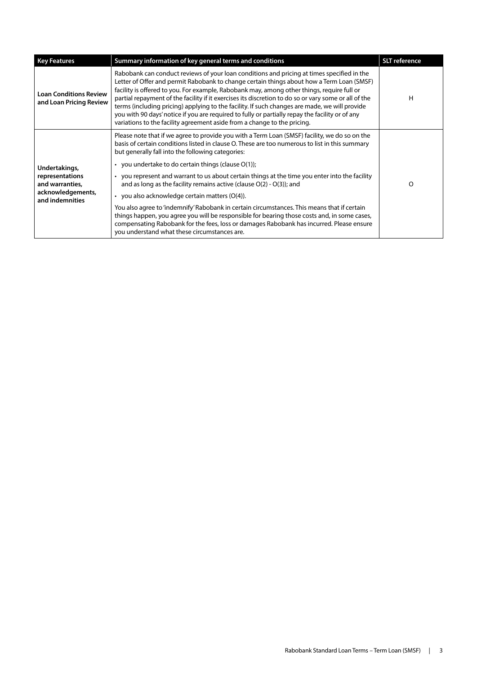| <b>Key Features</b>                                                                         | Summary information of key general terms and conditions                                                                                                                                                                                                                                                                                                                                                                                                                                                                                                                                                                                                                                                                                                                                                                                                                                     | <b>SLT</b> reference |
|---------------------------------------------------------------------------------------------|---------------------------------------------------------------------------------------------------------------------------------------------------------------------------------------------------------------------------------------------------------------------------------------------------------------------------------------------------------------------------------------------------------------------------------------------------------------------------------------------------------------------------------------------------------------------------------------------------------------------------------------------------------------------------------------------------------------------------------------------------------------------------------------------------------------------------------------------------------------------------------------------|----------------------|
| <b>Loan Conditions Review</b><br>and Loan Pricing Review                                    | Rabobank can conduct reviews of your loan conditions and pricing at times specified in the<br>Letter of Offer and permit Rabobank to change certain things about how a Term Loan (SMSF)<br>facility is offered to you. For example, Rabobank may, among other things, require full or<br>partial repayment of the facility if it exercises its discretion to do so or vary some or all of the<br>terms (including pricing) applying to the facility. If such changes are made, we will provide<br>you with 90 days' notice if you are required to fully or partially repay the facility or of any<br>variations to the facility agreement aside from a change to the pricing.                                                                                                                                                                                                               | н                    |
| Undertakings,<br>representations<br>and warranties,<br>acknowledgements,<br>and indemnities | Please note that if we agree to provide you with a Term Loan (SMSF) facility, we do so on the<br>basis of certain conditions listed in clause O. These are too numerous to list in this summary<br>but generally fall into the following categories:<br>• you undertake to do certain things (clause $O(1)$ );<br>• you represent and warrant to us about certain things at the time you enter into the facility<br>and as long as the facility remains active (clause $O(2) - O(3)$ ); and<br>• you also acknowledge certain matters $(O(4))$ .<br>You also agree to 'indemnify' Rabobank in certain circumstances. This means that if certain<br>things happen, you agree you will be responsible for bearing those costs and, in some cases,<br>compensating Rabobank for the fees, loss or damages Rabobank has incurred. Please ensure<br>you understand what these circumstances are. | $\Omega$             |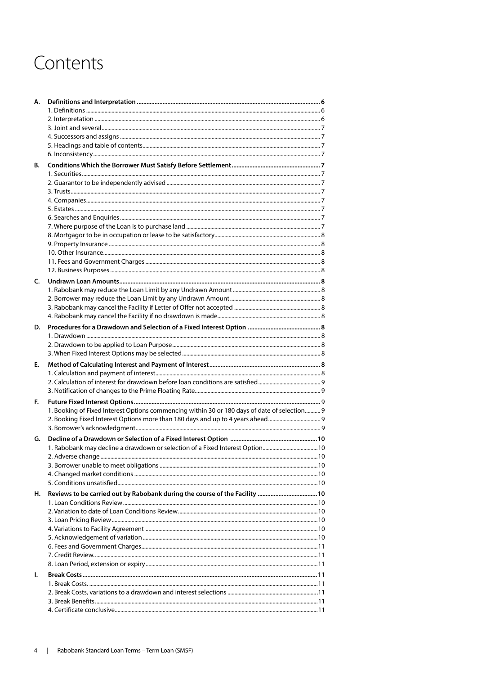## Contents

| А. |                                                                                              |  |
|----|----------------------------------------------------------------------------------------------|--|
|    |                                                                                              |  |
|    |                                                                                              |  |
|    |                                                                                              |  |
|    |                                                                                              |  |
|    |                                                                                              |  |
|    |                                                                                              |  |
| В. |                                                                                              |  |
|    |                                                                                              |  |
|    |                                                                                              |  |
|    |                                                                                              |  |
|    |                                                                                              |  |
|    |                                                                                              |  |
|    |                                                                                              |  |
|    |                                                                                              |  |
|    |                                                                                              |  |
|    |                                                                                              |  |
|    |                                                                                              |  |
|    |                                                                                              |  |
|    |                                                                                              |  |
| C. |                                                                                              |  |
|    |                                                                                              |  |
|    |                                                                                              |  |
|    |                                                                                              |  |
|    |                                                                                              |  |
| D. |                                                                                              |  |
|    |                                                                                              |  |
|    |                                                                                              |  |
|    |                                                                                              |  |
| E. |                                                                                              |  |
|    |                                                                                              |  |
|    |                                                                                              |  |
|    |                                                                                              |  |
| E. |                                                                                              |  |
|    | 1. Booking of Fixed Interest Options commencing within 30 or 180 days of date of selection 9 |  |
|    | 2. Booking Fixed Interest Options more than 180 days and up to 4 years ahead                 |  |
|    |                                                                                              |  |
|    |                                                                                              |  |
| G. |                                                                                              |  |
|    |                                                                                              |  |
|    | 2. Adverse change                                                                            |  |
|    |                                                                                              |  |
|    |                                                                                              |  |
|    |                                                                                              |  |
| Н. |                                                                                              |  |
|    |                                                                                              |  |
|    |                                                                                              |  |
|    |                                                                                              |  |
|    |                                                                                              |  |
|    |                                                                                              |  |
|    |                                                                                              |  |
|    |                                                                                              |  |
|    |                                                                                              |  |
| I. |                                                                                              |  |
|    |                                                                                              |  |
|    |                                                                                              |  |
|    |                                                                                              |  |
|    |                                                                                              |  |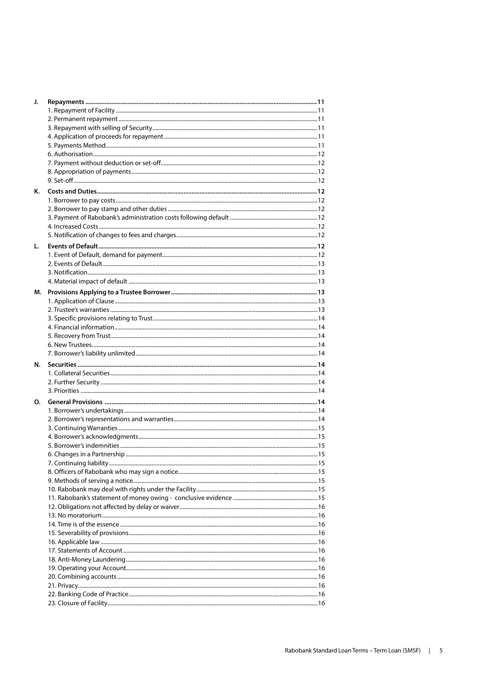| J. |  |
|----|--|
|    |  |
|    |  |
|    |  |
|    |  |
|    |  |
|    |  |
|    |  |
|    |  |
|    |  |
| Κ. |  |
|    |  |
|    |  |
|    |  |
|    |  |
|    |  |
| L. |  |
|    |  |
|    |  |
|    |  |
|    |  |
|    |  |
|    |  |
|    |  |
|    |  |
|    |  |
|    |  |
|    |  |
|    |  |
|    |  |
| N. |  |
|    |  |
|    |  |
|    |  |
| O. |  |
|    |  |
|    |  |
|    |  |
|    |  |
|    |  |
|    |  |
|    |  |
|    |  |
|    |  |
|    |  |
|    |  |
|    |  |
|    |  |
|    |  |
|    |  |
|    |  |
|    |  |
|    |  |
|    |  |
|    |  |
|    |  |
|    |  |
|    |  |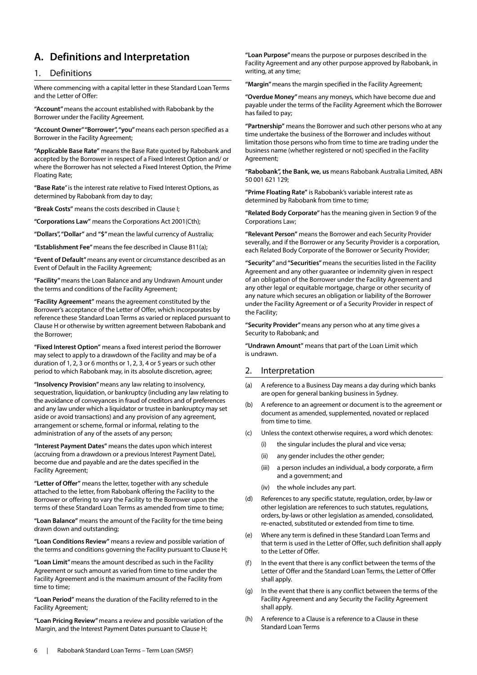## **A. Definitions and Interpretation**

#### 1. Definitions

Where commencing with a capital letter in these Standard Loan Terms and the Letter of Offer:

**"Account"** means the account established with Rabobank by the Borrower under the Facility Agreement.

**"Account Owner" "Borrower", "you"** means each person specified as a Borrower in the Facility Agreement;

**"Applicable Base Rate"** means the Base Rate quoted by Rabobank and accepted by the Borrower in respect of a Fixed Interest Option and/ or where the Borrower has not selected a Fixed Interest Option, the Prime Floating Rate;

**"Base Rate**" is the interest rate relative to Fixed Interest Options, as determined by Rabobank from day to day;

**"Break Costs"** means the costs described in Clause I;

**"Corporations Law"** means the Corporations Act 2001(Cth);

**"Dollars", "Dollar"** and **"\$"** mean the lawful currency of Australia;

**"Establishment Fee"** means the fee described in Clause B11(a);

**"Event of Default"** means any event or circumstance described as an Event of Default in the Facility Agreement;

**"Facility"** means the Loan Balance and any Undrawn Amount under the terms and conditions of the Facility Agreement;

**"Facility Agreement"** means the agreement constituted by the Borrower's acceptance of the Letter of Offer, which incorporates by reference these Standard Loan Terms as varied or replaced pursuant to Clause H or otherwise by written agreement between Rabobank and the Borrower;

**"Fixed Interest Option"** means a fixed interest period the Borrower may select to apply to a drawdown of the Facility and may be of a duration of 1, 2, 3 or 6 months or 1, 2, 3, 4 or 5 years or such other period to which Rabobank may, in its absolute discretion, agree;

**"Insolvency Provision"** means any law relating to insolvency, sequestration, liquidation, or bankruptcy (including any law relating to the avoidance of conveyances in fraud of creditors and of preferences and any law under which a liquidator or trustee in bankruptcy may set aside or avoid transactions) and any provision of any agreement, arrangement or scheme, formal or informal, relating to the administration of any of the assets of any person;

**"Interest Payment Dates"** means the dates upon which interest (accruing from a drawdown or a previous Interest Payment Date), become due and payable and are the dates specified in the Facility Agreement;

**"Letter of Offer"** means the letter, together with any schedule attached to the letter, from Rabobank offering the Facility to the Borrower or offering to vary the Facility to the Borrower upon the terms of these Standard Loan Terms as amended from time to time;

**"Loan Balance"** means the amount of the Facility for the time being drawn down and outstanding;

**"Loan Conditions Review"** means a review and possible variation of the terms and conditions governing the Facility pursuant to Clause H;

**"Loan Limit"** means the amount described as such in the Facility Agreement or such amount as varied from time to time under the Facility Agreement and is the maximum amount of the Facility from time to time;

**"Loan Period"** means the duration of the Facility referred to in the Facility Agreement;

**"Loan Pricing Review"** means a review and possible variation of the Margin, and the Interest Payment Dates pursuant to Clause H;

**"Loan Purpose"** means the purpose or purposes described in the Facility Agreement and any other purpose approved by Rabobank, in writing, at any time;

**"Margin"** means the margin specified in the Facility Agreement;

**"Overdue Money"** means any moneys, which have become due and payable under the terms of the Facility Agreement which the Borrower has failed to pay;

**"Partnership"** means the Borrower and such other persons who at any time undertake the business of the Borrower and includes without limitation those persons who from time to time are trading under the business name (whether registered or not) specified in the Facility Agreement;

**"Rabobank", the Bank, we, us** means Rabobank Australia Limited, ABN 50 001 621 129;

**"Prime Floating Rate"** is Rabobank's variable interest rate as determined by Rabobank from time to time;

**"Related Body Corporate"** has the meaning given in Section 9 of the Corporations Law;

**"Relevant Person"** means the Borrower and each Security Provider severally, and if the Borrower or any Security Provider is a corporation, each Related Body Corporate of the Borrower or Security Provider;

**"Security"** and **"Securities"** means the securities listed in the Facility Agreement and any other guarantee or indemnity given in respect of an obligation of the Borrower under the Facility Agreement and any other legal or equitable mortgage, charge or other security of any nature which secures an obligation or liability of the Borrower under the Facility Agreement or of a Security Provider in respect of the Facility;

**"Security Provider"** means any person who at any time gives a Security to Rabobank; and

**"Undrawn Amount"** means that part of the Loan Limit which is undrawn.

#### 2. Interpretation

- (a) A reference to a Business Day means a day during which banks are open for general banking business in Sydney.
- (b) A reference to an agreement or document is to the agreement or document as amended, supplemented, novated or replaced from time to time.
- (c) Unless the context otherwise requires, a word which denotes:
	- (i) the singular includes the plural and vice versa;
	- (ii) any gender includes the other gender;
	- (iii) a person includes an individual, a body corporate, a firm and a government; and
	- (iv) the whole includes any part.
- (d) References to any specific statute, regulation, order, by-law or other legislation are references to such statutes, regulations, orders, by-laws or other legislation as amended, consolidated, re-enacted, substituted or extended from time to time.
- Where any term is defined in these Standard Loan Terms and that term is used in the Letter of Offer, such definition shall apply to the Letter of Offer.
- (f) In the event that there is any conflict between the terms of the Letter of Offer and the Standard Loan Terms, the Letter of Offer shall apply.
- In the event that there is any conflict between the terms of the Facility Agreement and any Security the Facility Agreement shall apply.
- (h) A reference to a Clause is a reference to a Clause in these Standard Loan Terms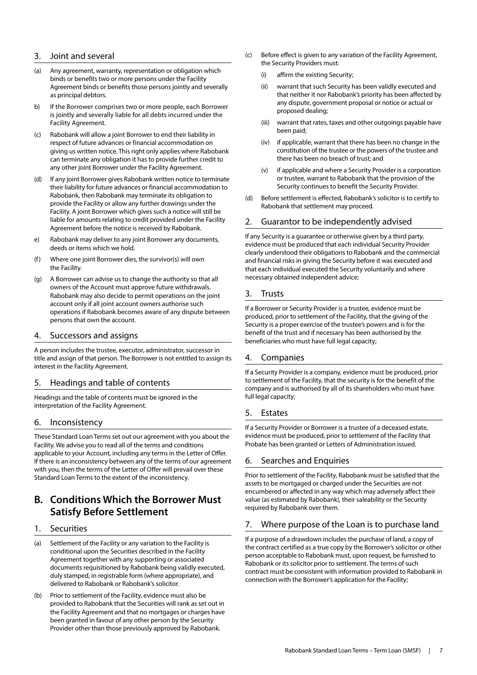#### 3. Joint and several

- (a) Any agreement, warranty, representation or obligation which binds or benefits two or more persons under the Facility Agreement binds or benefits those persons jointly and severally as principal debtors.
- b) If the Borrower comprises two or more people, each Borrower is jointly and severally liable for all debts incurred under the Facility Agreement.
- (c) Rabobank will allow a joint Borrower to end their liability in respect of future advances or financial accommodation on giving us written notice. This right only applies where Rabobank can terminate any obligation it has to provide further credit to any other joint Borrower under the Facility Agreement.
- (d) If any joint Borrower gives Rabobank written notice to terminate their liability for future advances or financial accommodation to Rabobank, then Rabobank may terminate its obligation to provide the Facility or allow any further drawings under the Facility. A joint Borrower which gives such a notice will still be liable for amounts relating to credit provided under the Facility Agreement before the notice is received by Rabobank.
- e) Rabobank may deliver to any joint Borrower any documents, deeds or items which we hold.
- (f) Where one joint Borrower dies, the survivor(s) will own the Facility.
- (g) A Borrower can advise us to change the authority so that all owners of the Account must approve future withdrawals. Rabobank may also decide to permit operations on the joint account only if all joint account owners authorise such operations if Rabobank becomes aware of any dispute between persons that own the account.

#### 4. Successors and assigns

A person includes the trustee, executor, administrator, successor in title and assign of that person. The Borrower is not entitled to assign its interest in the Facility Agreement.

#### 5. Headings and table of contents

Headings and the table of contents must be ignored in the interpretation of the Facility Agreement.

#### 6. Inconsistency

These Standard Loan Terms set out our agreement with you about the Facility. We advise you to read all of the terms and conditions applicable to your Account, including any terms in the Letter of Offer. If there is an inconsistency between any of the terms of our agreement with you, then the terms of the Letter of Offer will prevail over these Standard Loan Terms to the extent of the inconsistency.

## **B. Conditions Which the Borrower Must Satisfy Before Settlement**

#### 1. Securities

- (a) Settlement of the Facility or any variation to the Facility is conditional upon the Securities described in the Facility Agreement together with any supporting or associated documents requisitioned by Rabobank being validly executed, duly stamped, in registrable form (where appropriate), and delivered to Rabobank or Rabobank's solicitor.
- (b) Prior to settlement of the Facility, evidence must also be provided to Rabobank that the Securities will rank as set out in the Facility Agreement and that no mortgages or charges have been granted in favour of any other person by the Security Provider other than those previously approved by Rabobank.
- (c) Before effect is given to any variation of the Facility Agreement, the Security Providers must:
	- (i) affirm the existing Security;
	- (ii) warrant that such Security has been validly executed and that neither it nor Rabobank's priority has been affected by any dispute, government proposal or notice or actual or proposed dealing;
	- (iii) warrant that rates, taxes and other outgoings payable have been paid;
	- (iv) if applicable, warrant that there has been no change in the constitution of the trustee or the powers of the trustee and there has been no breach of trust; and
	- (v) if applicable and where a Security Provider is a corporation or trustee, warrant to Rabobank that the provision of the Security continues to benefit the Security Provider.
- (d) Before settlement is effected, Rabobank's solicitor is to certify to Rabobank that settlement may proceed.

#### 2. Guarantor to be independently advised

If any Security is a guarantee or otherwise given by a third party, evidence must be produced that each individual Security Provider clearly understood their obligations to Rabobank and the commercial and financial risks in giving the Security before it was executed and that each individual executed the Security voluntarily and where necessary obtained independent advice;

#### 3. Trusts

If a Borrower or Security Provider is a trustee, evidence must be produced, prior to settlement of the Facility, that the giving of the Security is a proper exercise of the trustee's powers and is for the benefit of the trust and if necessary has been authorised by the beneficiaries who must have full legal capacity;

#### 4. Companies

If a Security Provider is a company, evidence must be produced, prior to settlement of the Facility, that the security is for the benefit of the company and is authorised by all of its shareholders who must have full legal capacity;

#### 5. Estates

If a Security Provider or Borrower is a trustee of a deceased estate, evidence must be produced, prior to settlement of the Facility that Probate has been granted or Letters of Administration issued.

#### 6. Searches and Enquiries

Prior to settlement of the Facility, Rabobank must be satisfied that the assets to be mortgaged or charged under the Securities are not encumbered or affected in any way which may adversely affect their value (as estimated by Rabobank), their saleability or the Security required by Rabobank over them.

#### 7. Where purpose of the Loan is to purchase land

If a purpose of a drawdown includes the purchase of land, a copy of the contract certified as a true copy by the Borrower's solicitor or other person acceptable to Rabobank must, upon request, be furnished to Rabobank or its solicitor prior to settlement. The terms of such contract must be consistent with information provided to Rabobank in connection with the Borrower's application for the Facility;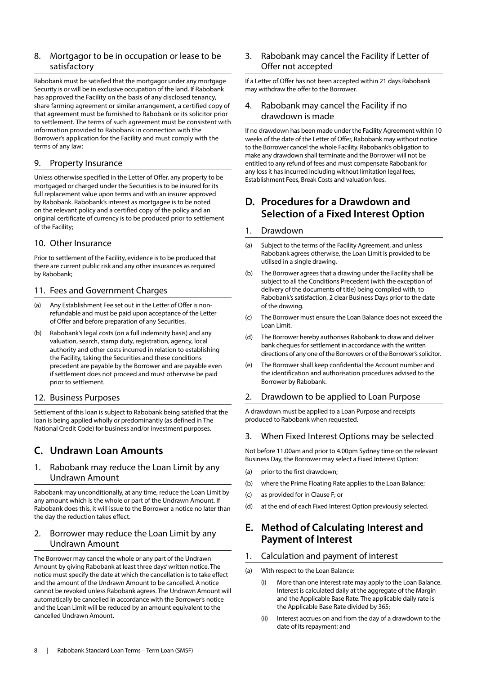#### 8. Mortgagor to be in occupation or lease to be satisfactory

Rabobank must be satisfied that the mortgagor under any mortgage Security is or will be in exclusive occupation of the land. If Rabobank has approved the Facility on the basis of any disclosed tenancy, share farming agreement or similar arrangement, a certified copy of that agreement must be furnished to Rabobank or its solicitor prior to settlement. The terms of such agreement must be consistent with information provided to Rabobank in connection with the Borrower's application for the Facility and must comply with the terms of any law;

#### 9. Property Insurance

Unless otherwise specified in the Letter of Offer, any property to be mortgaged or charged under the Securities is to be insured for its full replacement value upon terms and with an insurer approved by Rabobank. Rabobank's interest as mortgagee is to be noted on the relevant policy and a certified copy of the policy and an original certificate of currency is to be produced prior to settlement of the Facility;

#### 10. Other Insurance

Prior to settlement of the Facility, evidence is to be produced that there are current public risk and any other insurances as required by Rabobank;

#### 11. Fees and Government Charges

- (a) Any Establishment Fee set out in the Letter of Offer is nonrefundable and must be paid upon acceptance of the Letter of Offer and before preparation of any Securities.
- (b) Rabobank's legal costs (on a full indemnity basis) and any valuation, search, stamp duty, registration, agency, local authority and other costs incurred in relation to establishing the Facility, taking the Securities and these conditions precedent are payable by the Borrower and are payable even if settlement does not proceed and must otherwise be paid prior to settlement.

#### 12. Business Purposes

Settlement of this loan is subject to Rabobank being satisfied that the loan is being applied wholly or predominantly (as defined in The National Credit Code) for business and/or investment purposes.

## **C. Undrawn Loan Amounts**

#### 1. Rabobank may reduce the Loan Limit by any Undrawn Amount

Rabobank may unconditionally, at any time, reduce the Loan Limit by any amount which is the whole or part of the Undrawn Amount. If Rabobank does this, it will issue to the Borrower a notice no later than the day the reduction takes effect.

#### 2. Borrower may reduce the Loan Limit by any Undrawn Amount

The Borrower may cancel the whole or any part of the Undrawn Amount by giving Rabobank at least three days' written notice. The notice must specify the date at which the cancellation is to take effect and the amount of the Undrawn Amount to be cancelled. A notice cannot be revoked unless Rabobank agrees. The Undrawn Amount will automatically be cancelled in accordance with the Borrower's notice and the Loan Limit will be reduced by an amount equivalent to the cancelled Undrawn Amount.

#### 3. Rabobank may cancel the Facility if Letter of Offer not accepted

If a Letter of Offer has not been accepted within 21 days Rabobank may withdraw the offer to the Borrower.

#### 4. Rabobank may cancel the Facility if no drawdown is made

If no drawdown has been made under the Facility Agreement within 10 weeks of the date of the Letter of Offer, Rabobank may without notice to the Borrower cancel the whole Facility. Rabobank's obligation to make any drawdown shall terminate and the Borrower will not be entitled to any refund of fees and must compensate Rabobank for any loss it has incurred including without limitation legal fees, Establishment Fees, Break Costs and valuation fees.

## **D. Procedures for a Drawdown and Selection of a Fixed Interest Option**

#### 1. Drawdown

- (a) Subject to the terms of the Facility Agreement, and unless Rabobank agrees otherwise, the Loan Limit is provided to be utilised in a single drawing.
- (b) The Borrower agrees that a drawing under the Facility shall be subject to all the Conditions Precedent (with the exception of delivery of the documents of title) being complied with, to Rabobank's satisfaction, 2 clear Business Days prior to the date of the drawing.
- (c) The Borrower must ensure the Loan Balance does not exceed the Loan Limit.
- (d) The Borrower hereby authorises Rabobank to draw and deliver bank cheques for settlement in accordance with the written directions of any one of the Borrowers or of the Borrower's solicitor.
- (e) The Borrower shall keep confidential the Account number and the identification and authorisation procedures advised to the Borrower by Rabobank.

#### 2. Drawdown to be applied to Loan Purpose

A drawdown must be applied to a Loan Purpose and receipts produced to Rabobank when requested.

#### 3. When Fixed Interest Options may be selected

Not before 11.00am and prior to 4.00pm Sydney time on the relevant Business Day, the Borrower may select a Fixed Interest Option:

- (a) prior to the first drawdown;
- (b) where the Prime Floating Rate applies to the Loan Balance;
- (c) as provided for in Clause F; or
- (d) at the end of each Fixed Interest Option previously selected.

## **E. Method of Calculating Interest and Payment of Interest**

#### 1. Calculation and payment of interest

- (a) With respect to the Loan Balance:
	- More than one interest rate may apply to the Loan Balance. Interest is calculated daily at the aggregate of the Margin and the Applicable Base Rate. The applicable daily rate is the Applicable Base Rate divided by 365;
	- Interest accrues on and from the day of a drawdown to the date of its repayment; and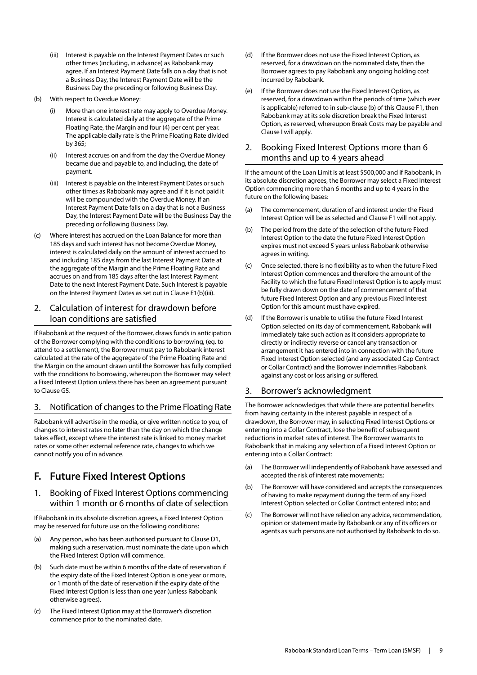- (iii) Interest is payable on the Interest Payment Dates or such other times (including, in advance) as Rabobank may agree. If an Interest Payment Date falls on a day that is not a Business Day, the Interest Payment Date will be the Business Day the preceding or following Business Day.
- (b) With respect to Overdue Money:
	- (i) More than one interest rate may apply to Overdue Money. Interest is calculated daily at the aggregate of the Prime Floating Rate, the Margin and four (4) per cent per year. The applicable daily rate is the Prime Floating Rate divided by 365;
	- (ii) Interest accrues on and from the day the Overdue Money became due and payable to, and including, the date of payment.
	- (iii) Interest is payable on the Interest Payment Dates or such other times as Rabobank may agree and if it is not paid it will be compounded with the Overdue Money. If an Interest Payment Date falls on a day that is not a Business Day, the Interest Payment Date will be the Business Day the preceding or following Business Day.
- (c) Where interest has accrued on the Loan Balance for more than 185 days and such interest has not become Overdue Money, interest is calculated daily on the amount of interest accrued to and including 185 days from the last Interest Payment Date at the aggregate of the Margin and the Prime Floating Rate and accrues on and from 185 days after the last Interest Payment Date to the next Interest Payment Date. Such Interest is payable on the Interest Payment Dates as set out in Clause E1(b)(iii).

#### 2. Calculation of interest for drawdown before loan conditions are satisfied

If Rabobank at the request of the Borrower, draws funds in anticipation of the Borrower complying with the conditions to borrowing, (eg. to attend to a settlement), the Borrower must pay to Rabobank interest calculated at the rate of the aggregate of the Prime Floating Rate and the Margin on the amount drawn until the Borrower has fully complied with the conditions to borrowing, whereupon the Borrower may select a Fixed Interest Option unless there has been an agreement pursuant to Clause G5.

#### 3. Notification of changes to the Prime Floating Rate

Rabobank will advertise in the media, or give written notice to you, of changes to interest rates no later than the day on which the change takes effect, except where the interest rate is linked to money market rates or some other external reference rate, changes to which we cannot notify you of in advance.

## **F. Future Fixed Interest Options**

#### 1. Booking of Fixed Interest Options commencing within 1 month or 6 months of date of selection

If Rabobank in its absolute discretion agrees, a Fixed Interest Option may be reserved for future use on the following conditions:

- (a) Any person, who has been authorised pursuant to Clause D1, making such a reservation, must nominate the date upon which the Fixed Interest Option will commence.
- (b) Such date must be within 6 months of the date of reservation if the expiry date of the Fixed Interest Option is one year or more, or 1 month of the date of reservation if the expiry date of the Fixed Interest Option is less than one year (unless Rabobank otherwise agrees).
- (c) The Fixed Interest Option may at the Borrower's discretion commence prior to the nominated date.
- (d) If the Borrower does not use the Fixed Interest Option, as reserved, for a drawdown on the nominated date, then the Borrower agrees to pay Rabobank any ongoing holding cost incurred by Rabobank.
- (e) If the Borrower does not use the Fixed Interest Option, as reserved, for a drawdown within the periods of time (which ever is applicable) referred to in sub-clause (b) of this Clause F1, then Rabobank may at its sole discretion break the Fixed Interest Option, as reserved, whereupon Break Costs may be payable and Clause I will apply.

#### 2. Booking Fixed Interest Options more than 6 months and up to 4 years ahead

If the amount of the Loan Limit is at least \$500,000 and if Rabobank, in its absolute discretion agrees, the Borrower may select a Fixed Interest Option commencing more than 6 months and up to 4 years in the future on the following bases:

- (a) The commencement, duration of and interest under the Fixed Interest Option will be as selected and Clause F1 will not apply.
- (b) The period from the date of the selection of the future Fixed Interest Option to the date the future Fixed Interest Option expires must not exceed 5 years unless Rabobank otherwise agrees in writing.
- (c) Once selected, there is no flexibility as to when the future Fixed Interest Option commences and therefore the amount of the Facility to which the future Fixed Interest Option is to apply must be fully drawn down on the date of commencement of that future Fixed Interest Option and any previous Fixed Interest Option for this amount must have expired.
- (d) If the Borrower is unable to utilise the future Fixed Interest Option selected on its day of commencement, Rabobank will immediately take such action as it considers appropriate to directly or indirectly reverse or cancel any transaction or arrangement it has entered into in connection with the future Fixed Interest Option selected (and any associated Cap Contract or Collar Contract) and the Borrower indemnifies Rabobank against any cost or loss arising or suffered.

#### 3. Borrower's acknowledgment

The Borrower acknowledges that while there are potential benefits from having certainty in the interest payable in respect of a drawdown, the Borrower may, in selecting Fixed Interest Options or entering into a Collar Contract, lose the benefit of subsequent reductions in market rates of interest. The Borrower warrants to Rabobank that in making any selection of a Fixed Interest Option or entering into a Collar Contract:

- (a) The Borrower will independently of Rabobank have assessed and accepted the risk of interest rate movements;
- (b) The Borrower will have considered and accepts the consequences of having to make repayment during the term of any Fixed Interest Option selected or Collar Contract entered into; and
- (c) The Borrower will not have relied on any advice, recommendation, opinion or statement made by Rabobank or any of its officers or agents as such persons are not authorised by Rabobank to do so.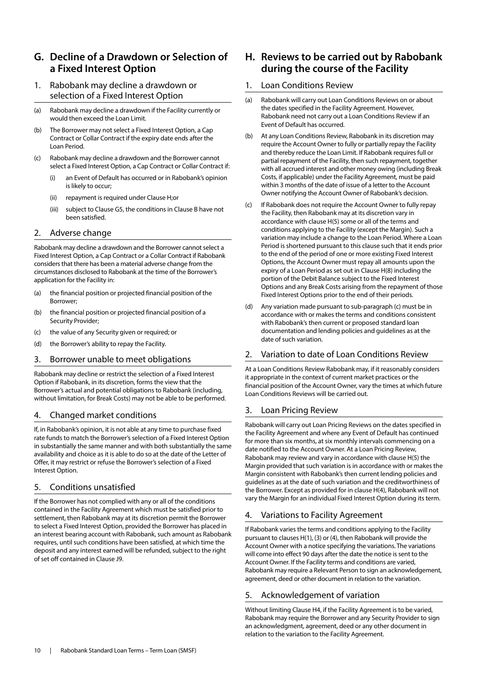## **G. Decline of a Drawdown or Selection of a Fixed Interest Option**

#### 1. Rabobank may decline a drawdown or selection of a Fixed Interest Option

(a) Rabobank may decline a drawdown if the Facility currently or would then exceed the Loan Limit.

- (b) The Borrower may not select a Fixed Interest Option, a Cap Contract or Collar Contract if the expiry date ends after the Loan Period.
- (c) Rabobank may decline a drawdown and the Borrower cannot select a Fixed Interest Option, a Cap Contract or Collar Contract if:
	- (i) an Event of Default has occurred or in Rabobank's opinion is likely to occur;
	- (ii) repayment is required under Clause H;or
	- (iii) subject to Clause G5, the conditions in Clause B have not been satisfied.

#### 2. Adverse change

Rabobank may decline a drawdown and the Borrower cannot select a Fixed Interest Option, a Cap Contract or a Collar Contract if Rabobank considers that there has been a material adverse change from the circumstances disclosed to Rabobank at the time of the Borrower's application for the Facility in:

- (a) the financial position or projected financial position of the Borrower;
- (b) the financial position or projected financial position of a Security Provider;
- (c) the value of any Security given or required; or
- (d) the Borrower's ability to repay the Facility.

#### 3. Borrower unable to meet obligations

Rabobank may decline or restrict the selection of a Fixed Interest Option if Rabobank, in its discretion, forms the view that the Borrower's actual and potential obligations to Rabobank (including, without limitation, for Break Costs) may not be able to be performed.

#### 4. Changed market conditions

If, in Rabobank's opinion, it is not able at any time to purchase fixed rate funds to match the Borrower's selection of a Fixed Interest Option in substantially the same manner and with both substantially the same availability and choice as it is able to do so at the date of the Letter of Offer, it may restrict or refuse the Borrower's selection of a Fixed Interest Option.

#### 5. Conditions unsatisfied

If the Borrower has not complied with any or all of the conditions contained in the Facility Agreement which must be satisfied prior to settlement, then Rabobank may at its discretion permit the Borrower to select a Fixed Interest Option, provided the Borrower has placed in an interest bearing account with Rabobank, such amount as Rabobank requires, until such conditions have been satisfied, at which time the deposit and any interest earned will be refunded, subject to the right of set off contained in Clause J9.

## **H. Reviews to be carried out by Rabobank during the course of the Facility**

#### 1. Loan Conditions Review

- (a) Rabobank will carry out Loan Conditions Reviews on or about the dates specified in the Facility Agreement. However, Rabobank need not carry out a Loan Conditions Review if an Event of Default has occurred.
- (b) At any Loan Conditions Review, Rabobank in its discretion may require the Account Owner to fully or partially repay the Facility and thereby reduce the Loan Limit. If Rabobank requires full or partial repayment of the Facility, then such repayment, together with all accrued interest and other money owing (including Break Costs, if applicable) under the Facility Agreement, must be paid within 3 months of the date of issue of a letter to the Account Owner notifying the Account Owner of Rabobank's decision.
- (c) If Rabobank does not require the Account Owner to fully repay the Facility, then Rabobank may at its discretion vary in accordance with clause H(5) some or all of the terms and conditions applying to the Facility (except the Margin). Such a variation may include a change to the Loan Period. Where a Loan Period is shortened pursuant to this clause such that it ends prior to the end of the period of one or more existing Fixed Interest Options, the Account Owner must repay all amounts upon the expiry of a Loan Period as set out in Clause H(8) including the portion of the Debit Balance subject to the Fixed Interest Options and any Break Costs arising from the repayment of those Fixed Interest Options prior to the end of their periods.
- (d) Any variation made pursuant to sub-paragraph (c) must be in accordance with or makes the terms and conditions consistent with Rabobank's then current or proposed standard loan documentation and lending policies and guidelines as at the date of such variation.

#### 2. Variation to date of Loan Conditions Review

At a Loan Conditions Review Rabobank may, if it reasonably considers it appropriate in the context of current market practices or the financial position of the Account Owner, vary the times at which future Loan Conditions Reviews will be carried out.

#### 3. Loan Pricing Review

Rabobank will carry out Loan Pricing Reviews on the dates specified in the Facility Agreement and where any Event of Default has continued for more than six months, at six monthly intervals commencing on a date notified to the Account Owner. At a Loan Pricing Review, Rabobank may review and vary in accordance with clause H(5) the Margin provided that such variation is in accordance with or makes the Margin consistent with Rabobank's then current lending policies and guidelines as at the date of such variation and the creditworthiness of the Borrower. Except as provided for in clause H(4), Rabobank will not vary the Margin for an individual Fixed Interest Option during its term.

#### 4. Variations to Facility Agreement

If Rabobank varies the terms and conditions applying to the Facility pursuant to clauses H(1), (3) or (4), then Rabobank will provide the Account Owner with a notice specifying the variations. The variations will come into effect 90 days after the date the notice is sent to the Account Owner. If the Facility terms and conditions are varied, Rabobank may require a Relevant Person to sign an acknowledgement, agreement, deed or other document in relation to the variation.

#### 5. Acknowledgement of variation

Without limiting Clause H4, if the Facility Agreement is to be varied, Rabobank may require the Borrower and any Security Provider to sign an acknowledgment, agreement, deed or any other document in relation to the variation to the Facility Agreement.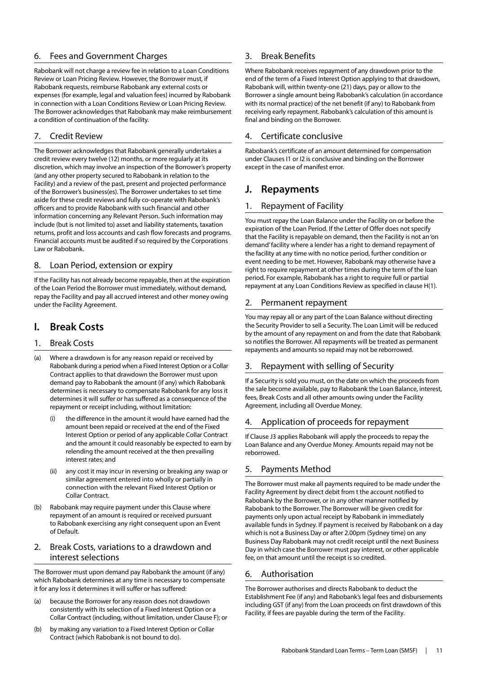#### 6. Fees and Government Charges

Rabobank will not charge a review fee in relation to a Loan Conditions Review or Loan Pricing Review. However, the Borrower must, if Rabobank requests, reimburse Rabobank any external costs or expenses (for example, legal and valuation fees) incurred by Rabobank in connection with a Loan Conditions Review or Loan Pricing Review. The Borrower acknowledges that Rabobank may make reimbursement a condition of continuation of the facility.

#### 7. Credit Review

The Borrower acknowledges that Rabobank generally undertakes a credit review every twelve (12) months, or more regularly at its discretion, which may involve an inspection of the Borrower's property (and any other property secured to Rabobank in relation to the Facility) and a review of the past, present and projected performance of the Borrower's business(es). The Borrower undertakes to set time aside for these credit reviews and fully co-operate with Rabobank's officers and to provide Rabobank with such financial and other information concerning any Relevant Person. Such information may include (but is not limited to) asset and liability statements, taxation returns, profit and loss accounts and cash flow forecasts and programs. Financial accounts must be audited if so required by the Corporations Law or Rabobank.

#### 8. Loan Period, extension or expiry

If the Facility has not already become repayable, then at the expiration of the Loan Period the Borrower must immediately, without demand, repay the Facility and pay all accrued interest and other money owing under the Facility Agreement.

## **I. Break Costs**

#### 1. Break Costs

- (a) Where a drawdown is for any reason repaid or received by Rabobank during a period when a Fixed Interest Option or a Collar Contract applies to that drawdown the Borrower must upon demand pay to Rabobank the amount (if any) which Rabobank determines is necessary to compensate Rabobank for any loss it determines it will suffer or has suffered as a consequence of the repayment or receipt including, without limitation:
	- the difference in the amount it would have earned had the amount been repaid or received at the end of the Fixed Interest Option or period of any applicable Collar Contract and the amount it could reasonably be expected to earn by relending the amount received at the then prevailing interest rates; and
	- (ii) any cost it may incur in reversing or breaking any swap or similar agreement entered into wholly or partially in connection with the relevant Fixed Interest Option or Collar Contract.
- (b) Rabobank may require payment under this Clause where repayment of an amount is required or received pursuant to Rabobank exercising any right consequent upon an Event of Default.

#### 2. Break Costs, variations to a drawdown and interest selections

The Borrower must upon demand pay Rabobank the amount (if any) which Rabobank determines at any time is necessary to compensate it for any loss it determines it will suffer or has suffered:

- (a) because the Borrower for any reason does not drawdown consistently with its selection of a Fixed Interest Option or a Collar Contract (including, without limitation, under Clause F); or
- (b) by making any variation to a Fixed Interest Option or Collar Contract (which Rabobank is not bound to do).

#### 3. Break Benefits

Where Rabobank receives repayment of any drawdown prior to the end of the term of a Fixed Interest Option applying to that drawdown, Rabobank will, within twenty-one (21) days, pay or allow to the Borrower a single amount being Rabobank's calculation (in accordance with its normal practice) of the net benefit (if any) to Rabobank from receiving early repayment. Rabobank's calculation of this amount is final and binding on the Borrower.

#### 4. Certificate conclusive

Rabobank's certificate of an amount determined for compensation under Clauses I1 or I2 is conclusive and binding on the Borrower except in the case of manifest error.

## **J. Repayments**

#### 1. Repayment of Facility

You must repay the Loan Balance under the Facility on or before the expiration of the Loan Period. If the Letter of Offer does not specify that the Facility is repayable on demand, then the Facility is not an 'on demand' facility where a lender has a right to demand repayment of the facility at any time with no notice period, further condition or event needing to be met. However, Rabobank may otherwise have a right to require repayment at other times during the term of the loan period. For example, Rabobank has a right to require full or partial repayment at any Loan Conditions Review as specified in clause H(1).

#### 2. Permanent repayment

You may repay all or any part of the Loan Balance without directing the Security Provider to sell a Security. The Loan Limit will be reduced by the amount of any repayment on and from the date that Rabobank so notifies the Borrower. All repayments will be treated as permanent repayments and amounts so repaid may not be reborrowed.

#### 3. Repayment with selling of Security

If a Security is sold you must, on the date on which the proceeds from the sale become available, pay to Rabobank the Loan Balance, interest, fees, Break Costs and all other amounts owing under the Facility Agreement, including all Overdue Money.

#### 4. Application of proceeds for repayment

If Clause J3 applies Rabobank will apply the proceeds to repay the Loan Balance and any Overdue Money. Amounts repaid may not be reborrowed.

#### 5. Payments Method

The Borrower must make all payments required to be made under the Facility Agreement by direct debit from t the account notified to Rabobank by the Borrower, or in any other manner notified by Rabobank to the Borrower. The Borrower will be given credit for payments only upon actual receipt by Rabobank in immediately available funds in Sydney. If payment is received by Rabobank on a day which is not a Business Day or after 2.00pm (Sydney time) on any Business Day Rabobank may not credit receipt until the next Business Day in which case the Borrower must pay interest, or other applicable fee, on that amount until the receipt is so credited.

#### 6. Authorisation

The Borrower authorises and directs Rabobank to deduct the Establishment Fee (if any) and Rabobank's legal fees and disbursements including GST (if any) from the Loan proceeds on first drawdown of this Facility, if fees are payable during the term of the Facility.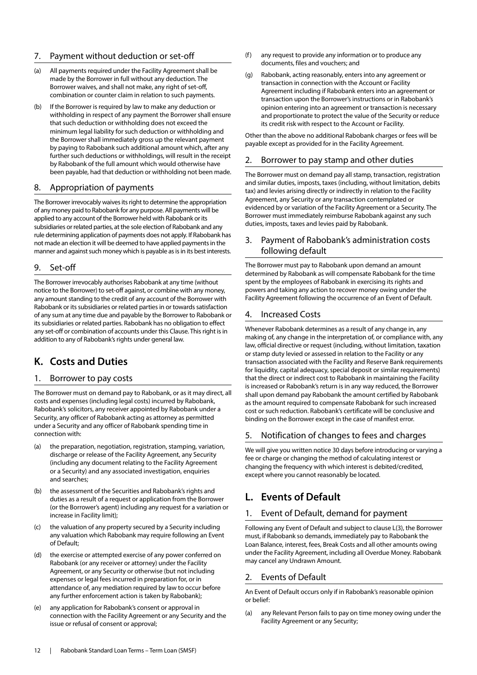#### 7. Payment without deduction or set-off

- (a) All payments required under the Facility Agreement shall be made by the Borrower in full without any deduction. The Borrower waives, and shall not make, any right of set-off, combination or counter claim in relation to such payments.
- (b) If the Borrower is required by law to make any deduction or withholding in respect of any payment the Borrower shall ensure that such deduction or withholding does not exceed the minimum legal liability for such deduction or withholding and the Borrower shall immediately gross up the relevant payment by paying to Rabobank such additional amount which, after any further such deductions or withholdings, will result in the receipt by Rabobank of the full amount which would otherwise have been payable, had that deduction or withholding not been made.

#### 8. Appropriation of payments

The Borrower irrevocably waives its right to determine the appropriation of any money paid to Rabobank for any purpose. All payments will be applied to any account of the Borrower held with Rabobank or its subsidiaries or related parties, at the sole election of Rabobank and any rule determining application of payments does not apply. If Rabobank has not made an election it will be deemed to have applied payments in the manner and against such money which is payable as is in its best interests.

#### 9. Set-off

The Borrower irrevocably authorises Rabobank at any time (without notice to the Borrower) to set-off against, or combine with any money, any amount standing to the credit of any account of the Borrower with Rabobank or its subsidiaries or related parties in or towards satisfaction of any sum at any time due and payable by the Borrower to Rabobank or its subsidiaries or related parties. Rabobank has no obligation to effect any set-off or combination of accounts under this Clause. This right is in addition to any of Rabobank's rights under general law.

## **K. Costs and Duties**

#### 1. Borrower to pay costs

The Borrower must on demand pay to Rabobank, or as it may direct, all costs and expenses (including legal costs) incurred by Rabobank, Rabobank's solicitors, any receiver appointed by Rabobank under a Security, any officer of Rabobank acting as attorney as permitted under a Security and any officer of Rabobank spending time in connection with:

- (a) the preparation, negotiation, registration, stamping, variation, discharge or release of the Facility Agreement, any Security (including any document relating to the Facility Agreement or a Security) and any associated investigation, enquiries and searches;
- (b) the assessment of the Securities and Rabobank's rights and duties as a result of a request or application from the Borrower (or the Borrower's agent) including any request for a variation or increase in Facility limit);
- (c) the valuation of any property secured by a Security including any valuation which Rabobank may require following an Event of Default;
- (d) the exercise or attempted exercise of any power conferred on Rabobank (or any receiver or attorney) under the Facility Agreement, or any Security or otherwise (but not including expenses or legal fees incurred in preparation for, or in attendance of, any mediation required by law to occur before any further enforcement action is taken by Rabobank);
- (e) any application for Rabobank's consent or approval in connection with the Facility Agreement or any Security and the issue or refusal of consent or approval;
- (f) any request to provide any information or to produce any documents, files and vouchers; and
- (g) Rabobank, acting reasonably, enters into any agreement or transaction in connection with the Account or Facility Agreement including if Rabobank enters into an agreement or transaction upon the Borrower's instructions or in Rabobank's opinion entering into an agreement or transaction is necessary and proportionate to protect the value of the Security or reduce its credit risk with respect to the Account or Facility.

Other than the above no additional Rabobank charges or fees will be payable except as provided for in the Facility Agreement.

#### 2. Borrower to pay stamp and other duties

The Borrower must on demand pay all stamp, transaction, registration and similar duties, imposts, taxes (including, without limitation, debits tax) and levies arising directly or indirectly in relation to the Facility Agreement, any Security or any transaction contemplated or evidenced by or variation of the Facility Agreement or a Security. The Borrower must immediately reimburse Rabobank against any such duties, imposts, taxes and levies paid by Rabobank.

#### 3. Payment of Rabobank's administration costs following default

The Borrower must pay to Rabobank upon demand an amount determined by Rabobank as will compensate Rabobank for the time spent by the employees of Rabobank in exercising its rights and powers and taking any action to recover money owing under the Facility Agreement following the occurrence of an Event of Default.

#### 4. Increased Costs

Whenever Rabobank determines as a result of any change in, any making of, any change in the interpretation of, or compliance with, any law, official directive or request (including, without limitation, taxation or stamp duty levied or assessed in relation to the Facility or any transaction associated with the Facility and Reserve Bank requirements for liquidity, capital adequacy, special deposit or similar requirements) that the direct or indirect cost to Rabobank in maintaining the Facility is increased or Rabobank's return is in any way reduced, the Borrower shall upon demand pay Rabobank the amount certified by Rabobank as the amount required to compensate Rabobank for such increased cost or such reduction. Rabobank's certificate will be conclusive and binding on the Borrower except in the case of manifest error.

#### 5. Notification of changes to fees and charges

We will give you written notice 30 days before introducing or varying a fee or charge or changing the method of calculating interest or changing the frequency with which interest is debited/credited, except where you cannot reasonably be located.

## **L. Events of Default**

#### 1. Event of Default, demand for payment

Following any Event of Default and subject to clause L(3), the Borrower must, if Rabobank so demands, immediately pay to Rabobank the Loan Balance, interest, fees, Break Costs and all other amounts owing under the Facility Agreement, including all Overdue Money. Rabobank may cancel any Undrawn Amount.

#### 2. Events of Default

An Event of Default occurs only if in Rabobank's reasonable opinion or belief:

(a) any Relevant Person fails to pay on time money owing under the Facility Agreement or any Security;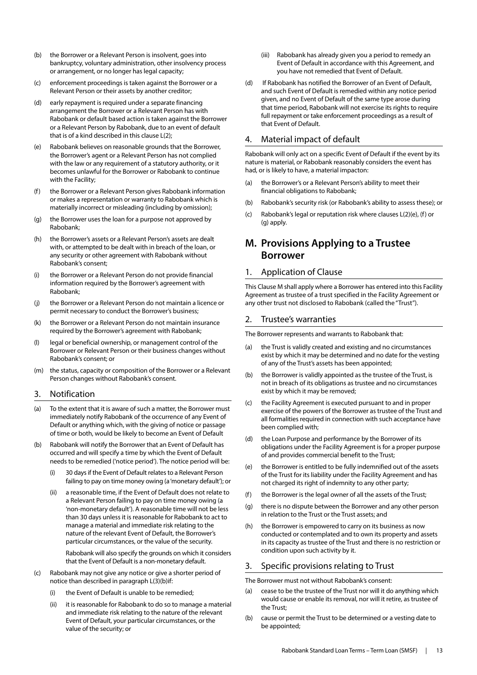- (b) the Borrower or a Relevant Person is insolvent, goes into bankruptcy, voluntary administration, other insolvency process or arrangement, or no longer has legal capacity;
- (c) enforcement proceedings is taken against the Borrower or a Relevant Person or their assets by another creditor;
- (d) early repayment is required under a separate financing arrangement the Borrower or a Relevant Person has with Rabobank or default based action is taken against the Borrower or a Relevant Person by Rabobank, due to an event of default that is of a kind described in this clause L(2);
- (e) Rabobank believes on reasonable grounds that the Borrower, the Borrower's agent or a Relevant Person has not complied with the law or any requirement of a statutory authority, or it becomes unlawful for the Borrower or Rabobank to continue with the Facility;
- (f) the Borrower or a Relevant Person gives Rabobank information or makes a representation or warranty to Rabobank which is materially incorrect or misleading (including by omission);
- (g) the Borrower uses the loan for a purpose not approved by Rabobank;
- (h) the Borrower's assets or a Relevant Person's assets are dealt with, or attempted to be dealt with in breach of the loan, or any security or other agreement with Rabobank without Rabobank's consent;
- (i) the Borrower or a Relevant Person do not provide financial information required by the Borrower's agreement with Rabobank;
- (j) the Borrower or a Relevant Person do not maintain a licence or permit necessary to conduct the Borrower's business;
- (k) the Borrower or a Relevant Person do not maintain insurance required by the Borrower's agreement with Rabobank;
- (l) legal or beneficial ownership, or management control of the Borrower or Relevant Person or their business changes without Rabobank's consent; or
- (m) the status, capacity or composition of the Borrower or a Relevant Person changes without Rabobank's consent.

#### 3. Notification

- (a) To the extent that it is aware of such a matter, the Borrower must immediately notify Rabobank of the occurrence of any Event of Default or anything which, with the giving of notice or passage of time or both, would be likely to become an Event of Default
- (b) Rabobank will notify the Borrower that an Event of Default has occurred and will specify a time by which the Event of Default needs to be remedied ('notice period'). The notice period will be:
	- (i) 30 days if the Event of Default relates to a Relevant Person failing to pay on time money owing (a 'monetary default'); or
	- a reasonable time, if the Event of Default does not relate to a Relevant Person failing to pay on time money owing (a 'non-monetary default'). A reasonable time will not be less than 30 days unless it is reasonable for Rabobank to act to manage a material and immediate risk relating to the nature of the relevant Event of Default, the Borrower's particular circumstances, or the value of the security.

Rabobank will also specify the grounds on which it considers that the Event of Default is a non-monetary default.

- (c) Rabobank may not give any notice or give a shorter period of notice than described in paragraph L(3)(b)if:
	- (i) the Event of Default is unable to be remedied;
	- (ii) it is reasonable for Rabobank to do so to manage a material and immediate risk relating to the nature of the relevant Event of Default, your particular circumstances, or the value of the security; or
- (iii) Rabobank has already given you a period to remedy an Event of Default in accordance with this Agreement, and you have not remedied that Event of Default.
- (d) If Rabobank has notified the Borrower of an Event of Default, and such Event of Default is remedied within any notice period given, and no Event of Default of the same type arose during that time period, Rabobank will not exercise its rights to require full repayment or take enforcement proceedings as a result of that Event of Default.

#### 4. Material impact of default

Rabobank will only act on a specific Event of Default if the event by its nature is material, or Rabobank reasonably considers the event has had, or is likely to have, a material impacton:

- (a) the Borrower's or a Relevant Person's ability to meet their financial obligations to Rabobank;
- (b) Rabobank's security risk (or Rabobank's ability to assess these); or
- (c) Rabobank's legal or reputation risk where clauses L(2)(e), (f) or (g) apply.

## **M. Provisions Applying to a Trustee Borrower**

#### 1. Application of Clause

This Clause M shall apply where a Borrower has entered into this Facility Agreement as trustee of a trust specified in the Facility Agreement or any other trust not disclosed to Rabobank (called the "Trust").

#### 2. Trustee's warranties

The Borrower represents and warrants to Rabobank that:

- (a) the Trust is validly created and existing and no circumstances exist by which it may be determined and no date for the vesting of any of the Trust's assets has been appointed;
- (b) the Borrower is validly appointed as the trustee of the Trust, is not in breach of its obligations as trustee and no circumstances exist by which it may be removed;
- (c) the Facility Agreement is executed pursuant to and in proper exercise of the powers of the Borrower as trustee of the Trust and all formalities required in connection with such acceptance have been complied with;
- (d) the Loan Purpose and performance by the Borrower of its obligations under the Facility Agreement is for a proper purpose of and provides commercial benefit to the Trust;
- (e) the Borrower is entitled to be fully indemnified out of the assets of the Trust for its liability under the Facility Agreement and has not charged its right of indemnity to any other party;
- (f) the Borrower is the legal owner of all the assets of the Trust;
- (g) there is no dispute between the Borrower and any other person in relation to the Trust or the Trust assets; and
- (h) the Borrower is empowered to carry on its business as now conducted or contemplated and to own its property and assets in its capacity as trustee of the Trust and there is no restriction or condition upon such activity by it.

#### 3. Specific provisions relating to Trust

The Borrower must not without Rabobank's consent:

- cease to be the trustee of the Trust nor will it do anything which would cause or enable its removal, nor will it retire, as trustee of the Trust;
- (b) cause or permit the Trust to be determined or a vesting date to be appointed;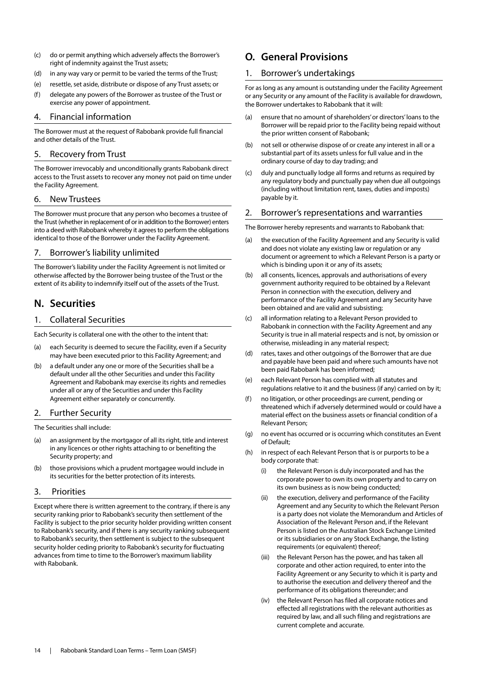- (c) do or permit anything which adversely affects the Borrower's right of indemnity against the Trust assets;
- (d) in any way vary or permit to be varied the terms of the Trust;
- (e) resettle, set aside, distribute or dispose of any Trust assets; or
- (f) delegate any powers of the Borrower as trustee of the Trust or exercise any power of appointment.

#### 4. Financial information

The Borrower must at the request of Rabobank provide full financial and other details of the Trust.

#### 5. Recovery from Trust

The Borrower irrevocably and unconditionally grants Rabobank direct access to the Trust assets to recover any money not paid on time under the Facility Agreement.

#### 6. New Trustees

The Borrower must procure that any person who becomes a trustee of the Trust (whether in replacement of or in addition to the Borrower) enters into a deed with Rabobank whereby it agrees to perform the obligations identical to those of the Borrower under the Facility Agreement.

#### 7. Borrower's liability unlimited

The Borrower's liability under the Facility Agreement is not limited or otherwise affected by the Borrower being trustee of the Trust or the extent of its ability to indemnify itself out of the assets of the Trust.

## **N. Securities**

#### 1. Collateral Securities

Each Security is collateral one with the other to the intent that:

- (a) each Security is deemed to secure the Facility, even if a Security may have been executed prior to this Facility Agreement; and
- (b) a default under any one or more of the Securities shall be a default under all the other Securities and under this Facility Agreement and Rabobank may exercise its rights and remedies under all or any of the Securities and under this Facility Agreement either separately or concurrently.

#### 2. Further Security

The Securities shall include:

- (a) an assignment by the mortgagor of all its right, title and interest in any licences or other rights attaching to or benefiting the Security property; and
- (b) those provisions which a prudent mortgagee would include in its securities for the better protection of its interests.

#### 3. Priorities

Except where there is written agreement to the contrary, if there is any security ranking prior to Rabobank's security then settlement of the Facility is subject to the prior security holder providing written consent to Rabobank's security, and if there is any security ranking subsequent to Rabobank's security, then settlement is subject to the subsequent security holder ceding priority to Rabobank's security for fluctuating advances from time to time to the Borrower's maximum liability with Rabobank.

## **O. General Provisions**

#### 1. Borrower's undertakings

For as long as any amount is outstanding under the Facility Agreement or any Security or any amount of the Facility is available for drawdown, the Borrower undertakes to Rabobank that it will:

- (a) ensure that no amount of shareholders' or directors' loans to the Borrower will be repaid prior to the Facility being repaid without the prior written consent of Rabobank;
- (b) not sell or otherwise dispose of or create any interest in all or a substantial part of its assets unless for full value and in the ordinary course of day to day trading; and
- (c) duly and punctually lodge all forms and returns as required by any regulatory body and punctually pay when due all outgoings (including without limitation rent, taxes, duties and imposts) payable by it.

#### 2. Borrower's representations and warranties

The Borrower hereby represents and warrants to Rabobank that:

- (a) the execution of the Facility Agreement and any Security is valid and does not violate any existing law or regulation or any document or agreement to which a Relevant Person is a party or which is binding upon it or any of its assets;
- (b) all consents, licences, approvals and authorisations of every government authority required to be obtained by a Relevant Person in connection with the execution, delivery and performance of the Facility Agreement and any Security have been obtained and are valid and subsisting;
- (c) all information relating to a Relevant Person provided to Rabobank in connection with the Facility Agreement and any Security is true in all material respects and is not, by omission or otherwise, misleading in any material respect;
- (d) rates, taxes and other outgoings of the Borrower that are due and payable have been paid and where such amounts have not been paid Rabobank has been informed;
- (e) each Relevant Person has complied with all statutes and regulations relative to it and the business (if any) carried on by it;
- (f) no litigation, or other proceedings are current, pending or threatened which if adversely determined would or could have a material effect on the business assets or financial condition of a Relevant Person;
- (g) no event has occurred or is occurring which constitutes an Event of Default;
- (h) in respect of each Relevant Person that is or purports to be a body corporate that:
	- (i) the Relevant Person is duly incorporated and has the corporate power to own its own property and to carry on its own business as is now being conducted;
	- (ii) the execution, delivery and performance of the Facility Agreement and any Security to which the Relevant Person is a party does not violate the Memorandum and Articles of Association of the Relevant Person and, if the Relevant Person is listed on the Australian Stock Exchange Limited or its subsidiaries or on any Stock Exchange, the listing requirements (or equivalent) thereof;
	- (iii) the Relevant Person has the power, and has taken all corporate and other action required, to enter into the Facility Agreement or any Security to which it is party and to authorise the execution and delivery thereof and the performance of its obligations thereunder; and
	- (iv) the Relevant Person has filed all corporate notices and effected all registrations with the relevant authorities as required by law, and all such filing and registrations are current complete and accurate.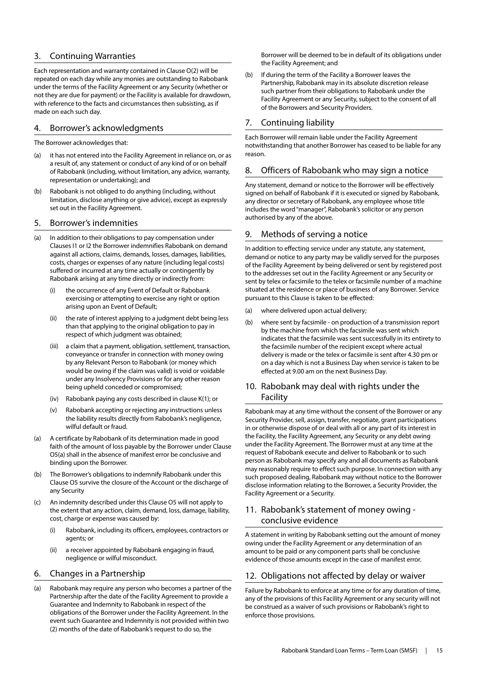#### 3. Continuing Warranties

Each representation and warranty contained in Clause O(2) will be repeated on each day while any monies are outstanding to Rabobank under the terms of the Facility Agreement or any Security (whether or not they are due for payment) or the Facility is available for drawdown, with reference to the facts and circumstances then subsisting, as if made on each such day.

#### 4. Borrower's acknowledgments

The Borrower acknowledges that:

- (a) it has not entered into the Facility Agreement in reliance on, or as a result of, any statement or conduct of any kind of or on behalf of Rabobank (including, without limitation, any advice, warranty, representation or undertaking); and
- (b) Rabobank is not obliged to do anything (including, without limitation, disclose anything or give advice), except as expressly set out in the Facility Agreement.

#### 5. Borrower's indemnities

- (a) In addition to their obligations to pay compensation under Clauses I1 or I2 the Borrower indemnifies Rabobank on demand against all actions, claims, demands, losses, damages, liabilities, costs, charges or expenses of any nature (including legal costs) suffered or incurred at any time actually or contingently by Rabobank arising at any time directly or indirectly from:
	- (i) the occurrence of any Event of Default or Rabobank exercising or attempting to exercise any right or option arising upon an Event of Default;
	- (ii) the rate of interest applying to a judgment debt being less than that applying to the original obligation to pay in respect of which judgment was obtained;
	- (iii) a claim that a payment, obligation, settlement, transaction, conveyance or transfer in connection with money owing by any Relevant Person to Rabobank (or money which would be owing if the claim was valid) is void or voidable under any Insolvency Provisions or for any other reason being upheld conceded or compromised;
	- (iv) Rabobank paying any costs described in clause K(1); or
	- (v) Rabobank accepting or rejecting any instructions unless the liability results directly from Rabobank's negligence, wilful default or fraud.
- (a) A certificate by Rabobank of its determination made in good faith of the amount of loss payable by the Borrower under Clause O5(a) shall in the absence of manifest error be conclusive and binding upon the Borrower.
- (b) The Borrower's obligations to indemnify Rabobank under this Clause O5 survive the closure of the Account or the discharge of any Security
- (c) An indemnity described under this Clause O5 will not apply to the extent that any action, claim, demand, loss, damage, liability, cost, charge or expense was caused by:
	- (i) Rabobank, including its officers, employees, contractors or agents; or
	- (ii) a receiver appointed by Rabobank engaging in fraud, negligence or wilful misconduct.

#### 6. Changes in a Partnership

(a) Rabobank may require any person who becomes a partner of the Partnership after the date of the Facility Agreement to provide a Guarantee and Indemnity to Rabobank in respect of the obligations of the Borrower under the Facility Agreement. In the event such Guarantee and Indemnity is not provided within two (2) months of the date of Rabobank's request to do so, the

Borrower will be deemed to be in default of its obligations under the Facility Agreement; and

(b) If during the term of the Facility a Borrower leaves the Partnership, Rabobank may in its absolute discretion release such partner from their obligations to Rabobank under the Facility Agreement or any Security, subject to the consent of all of the Borrowers and Security Providers.

#### 7. Continuing liability

Each Borrower will remain liable under the Facility Agreement notwithstanding that another Borrower has ceased to be liable for any reason.

#### 8. Officers of Rabobank who may sign a notice

Any statement, demand or notice to the Borrower will be effectively signed on behalf of Rabobank if it is executed or signed by Rabobank, any director or secretary of Rabobank, any employee whose title includes the word "manager", Rabobank's solicitor or any person authorised by any of the above.

#### 9. Methods of serving a notice

In addition to effecting service under any statute, any statement, demand or notice to any party may be validly served for the purposes of the Facility Agreement by being delivered or sent by registered post to the addresses set out in the Facility Agreement or any Security or sent by telex or facsimile to the telex or facsimile number of a machine situated at the residence or place of business of any Borrower. Service pursuant to this Clause is taken to be effected:

- (a) where delivered upon actual delivery;
- (b) where sent by facsimile on production of a transmission report by the machine from which the facsimile was sent which indicates that the facsimile was sent successfully in its entirety to the facsimile number of the recipient except where actual delivery is made or the telex or facsimile is sent after 4.30 pm or on a day which is not a Business Day when service is taken to be effected at 9.00 am on the next Business Day.

#### 10. Rabobank may deal with rights under the Facility

Rabobank may at any time without the consent of the Borrower or any Security Provider, sell, assign, transfer, negotiate, grant participations in or otherwise dispose of or deal with all or any part of its interest in the Facility, the Facility Agreement, any Security or any debt owing under the Facility Agreement. The Borrower must at any time at the request of Rabobank execute and deliver to Rabobank or to such person as Rabobank may specify any and all documents as Rabobank may reasonably require to effect such purpose. In connection with any such proposed dealing, Rabobank may without notice to the Borrower disclose information relating to the Borrower, a Security Provider, the Facility Agreement or a Security.

#### 11. Rabobank's statement of money owing conclusive evidence

A statement in writing by Rabobank setting out the amount of money owing under the Facility Agreement or any determination of an amount to be paid or any component parts shall be conclusive evidence of those amounts except in the case of manifest error.

#### 12. Obligations not affected by delay or waiver

Failure by Rabobank to enforce at any time or for any duration of time, any of the provisions of this Facility Agreement or any security will not be construed as a waiver of such provisions or Rabobank's right to enforce those provisions.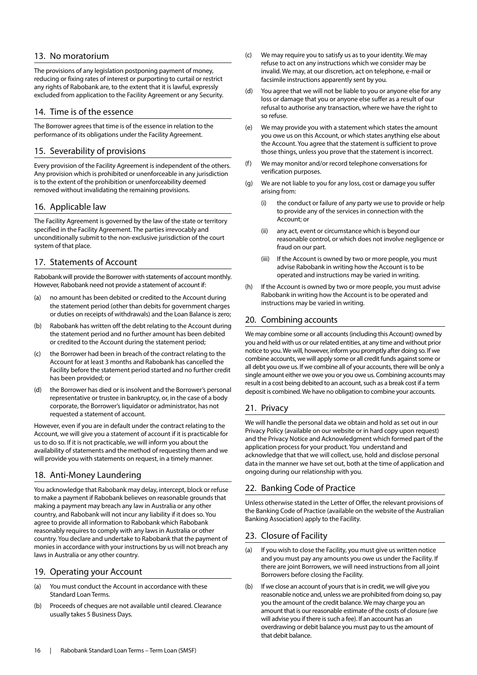#### 13. No moratorium

The provisions of any legislation postponing payment of money, reducing or fixing rates of interest or purporting to curtail or restrict any rights of Rabobank are, to the extent that it is lawful, expressly excluded from application to the Facility Agreement or any Security.

#### 14. Time is of the essence

The Borrower agrees that time is of the essence in relation to the performance of its obligations under the Facility Agreement.

#### 15. Severability of provisions

Every provision of the Facility Agreement is independent of the others. Any provision which is prohibited or unenforceable in any jurisdiction is to the extent of the prohibition or unenforceability deemed removed without invalidating the remaining provisions.

#### 16. Applicable law

The Facility Agreement is governed by the law of the state or territory specified in the Facility Agreement. The parties irrevocably and unconditionally submit to the non-exclusive jurisdiction of the court system of that place.

#### 17. Statements of Account

Rabobank will provide the Borrower with statements of account monthly. However, Rabobank need not provide a statement of account if:

- (a) no amount has been debited or credited to the Account during the statement period (other than debits for government charges or duties on receipts of withdrawals) and the Loan Balance is zero;
- (b) Rabobank has written off the debt relating to the Account during the statement period and no further amount has been debited or credited to the Account during the statement period;
- (c) the Borrower had been in breach of the contract relating to the Account for at least 3 months and Rabobank has cancelled the Facility before the statement period started and no further credit has been provided; or
- (d) the Borrower has died or is insolvent and the Borrower's personal representative or trustee in bankruptcy, or, in the case of a body corporate, the Borrower's liquidator or administrator, has not requested a statement of account.

However, even if you are in default under the contract relating to the Account, we will give you a statement of account if it is practicable for us to do so. If it is not practicable, we will inform you about the availability of statements and the method of requesting them and we will provide you with statements on request, in a timely manner.

#### 18. Anti-Money Laundering

You acknowledge that Rabobank may delay, intercept, block or refuse to make a payment if Rabobank believes on reasonable grounds that making a payment may breach any law in Australia or any other country, and Rabobank will not incur any liability if it does so. You agree to provide all information to Rabobank which Rabobank reasonably requires to comply with any laws in Australia or other country. You declare and undertake to Rabobank that the payment of monies in accordance with your instructions by us will not breach any laws in Australia or any other country.

#### 19. Operating your Account

- (a) You must conduct the Account in accordance with these Standard Loan Terms.
- (b) Proceeds of cheques are not available until cleared. Clearance usually takes 5 Business Days.
- (c) We may require you to satisfy us as to your identity. We may refuse to act on any instructions which we consider may be invalid. We may, at our discretion, act on telephone, e-mail or facsimile instructions apparently sent by you.
- (d) You agree that we will not be liable to you or anyone else for any loss or damage that you or anyone else suffer as a result of our refusal to authorise any transaction, where we have the right to so refuse.
- (e) We may provide you with a statement which states the amount you owe us on this Account, or which states anything else about the Account. You agree that the statement is sufficient to prove those things, unless you prove that the statement is incorrect.
- (f) We may monitor and/or record telephone conversations for verification purposes.
- (g) We are not liable to you for any loss, cost or damage you suffer arising from:
	- (i) the conduct or failure of any party we use to provide or help to provide any of the services in connection with the Account; or
	- (ii) any act, event or circumstance which is beyond our reasonable control, or which does not involve negligence or fraud on our part.
	- (iii) If the Account is owned by two or more people, you must advise Rabobank in writing how the Account is to be operated and instructions may be varied in writing.
- (h) If the Account is owned by two or more people, you must advise Rabobank in writing how the Account is to be operated and instructions may be varied in writing.

#### 20. Combining accounts

We may combine some or all accounts (including this Account) owned by you and held with us or our related entities, at any time and without prior notice to you. We will, however, inform you promptly after doing so. If we combine accounts, we will apply some or all credit funds against some or all debt you owe us. If we combine all of your accounts, there will be only a single amount either we owe you or you owe us. Combining accounts may result in a cost being debited to an account, such as a break cost if a term deposit is combined. We have no obligation to combine your accounts.

#### 21. Privacy

We will handle the personal data we obtain and hold as set out in our Privacy Policy (available on our website or in hard copy upon request) and the Privacy Notice and Acknowledgment which formed part of the application process for your product. You understand and acknowledge that that we will collect, use, hold and disclose personal data in the manner we have set out, both at the time of application and ongoing during our relationship with you.

#### 22. Banking Code of Practice

Unless otherwise stated in the Letter of Offer, the relevant provisions of the Banking Code of Practice (available on the website of the Australian Banking Association) apply to the Facility.

#### 23. Closure of Facility

- (a) If you wish to close the Facility, you must give us written notice and you must pay any amounts you owe us under the Facility. If there are joint Borrowers, we will need instructions from all joint Borrowers before closing the Facility.
- (b) If we close an account of yours that is in credit, we will give you reasonable notice and, unless we are prohibited from doing so, pay you the amount of the credit balance. We may charge you an amount that is our reasonable estimate of the costs of closure (we will advise you if there is such a fee). If an account has an overdrawing or debit balance you must pay to us the amount of that debit balance.